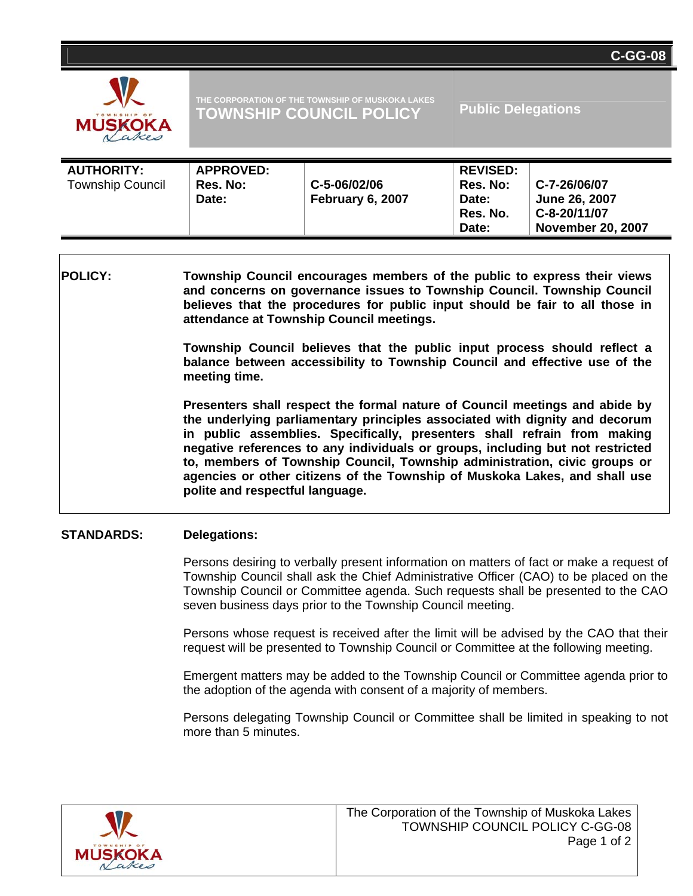| <b>MUSKOKA</b> |
|----------------|

| <b>AUTHORITY:</b><br><b>Township Council</b> | <b>APPROVED:</b><br>Res. No:<br>Date: | C-5-06/02/06<br>February 6, 2007 | <b>REVISED:</b><br>Res. No:<br>Date:<br>Res. No.<br>Date: | C-7-26/06/07<br>June 26, 2007<br>C-8-20/11/07<br><b>November 20, 2007</b> |
|----------------------------------------------|---------------------------------------|----------------------------------|-----------------------------------------------------------|---------------------------------------------------------------------------|
|----------------------------------------------|---------------------------------------|----------------------------------|-----------------------------------------------------------|---------------------------------------------------------------------------|

**POLICY: Township Council encourages members of the public to express their views and concerns on governance issues to Township Council. Township Council believes that the procedures for public input should be fair to all those in attendance at Township Council meetings.** 

> **Township Council believes that the public input process should reflect a balance between accessibility to Township Council and effective use of the meeting time.**

> **Presenters shall respect the formal nature of Council meetings and abide by the underlying parliamentary principles associated with dignity and decorum in public assemblies. Specifically, presenters shall refrain from making negative references to any individuals or groups, including but not restricted to, members of Township Council, Township administration, civic groups or agencies or other citizens of the Township of Muskoka Lakes, and shall use polite and respectful language.**

## **STANDARDS: Delegations:**

Persons desiring to verbally present information on matters of fact or make a request of Township Council shall ask the Chief Administrative Officer (CAO) to be placed on the Township Council or Committee agenda. Such requests shall be presented to the CAO seven business days prior to the Township Council meeting.

Persons whose request is received after the limit will be advised by the CAO that their request will be presented to Township Council or Committee at the following meeting.

Emergent matters may be added to the Township Council or Committee agenda prior to the adoption of the agenda with consent of a majority of members.

Persons delegating Township Council or Committee shall be limited in speaking to not more than 5 minutes.



**C-GG-08**